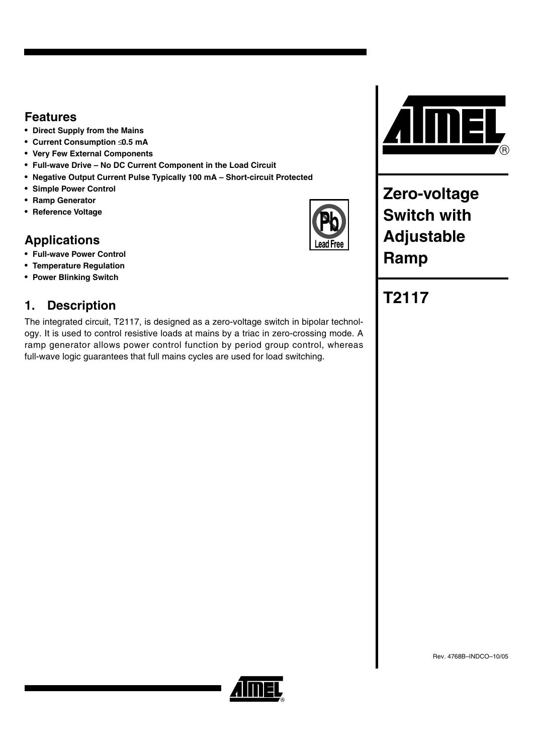## **Features**

- **Direct Supply from the Mains**
- **Current Consumption** ≤ **0.5 mA**
- **Very Few External Components**
- **Full-wave Drive No DC Current Component in the Load Circuit**
- **Negative Output Current Pulse Typically 100 mA Short-circuit Protected**
- **Simple Power Control**
- **Ramp Generator**
- **Reference Voltage**

# **Applications**

- **Full-wave Power Control**
- **Temperature Regulation**
- **Power Blinking Switch**

# **1. Description**

The integrated circuit, T2117, is designed as a zero-voltage switch in bipolar technology. It is used to control resistive loads at mains by a triac in zero-crossing mode. A ramp generator allows power control function by period group control, whereas full-wave logic guarantees that full mains cycles are used for load switching.



**Zero-voltage Switch with Adjustable Ramp**

# **T2117**

ead Free

Rev. 4768B–INDCO–10/05

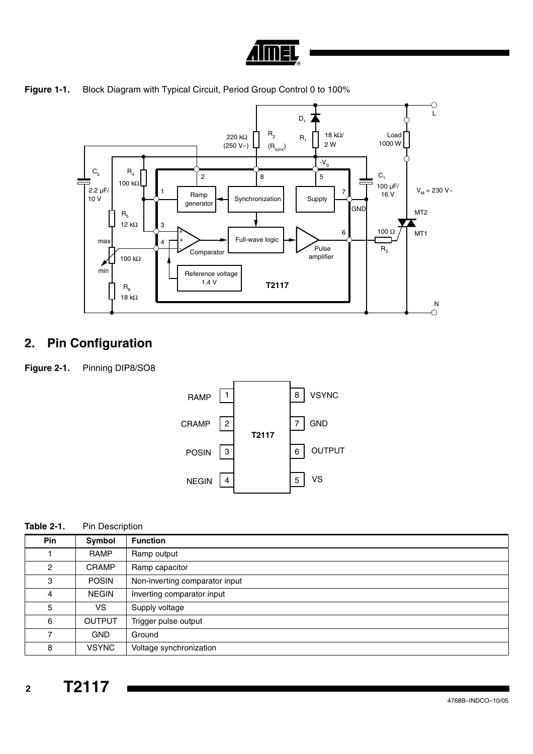

<span id="page-1-0"></span>



# **2. Pin Configuration**

**Figure 2-1.** Pinning DIP8/SO8



| Table 2-1. | <b>Pin Description</b> |
|------------|------------------------|
|------------|------------------------|

| <b>Pin</b>     | Symbol        | <b>Function</b>                |
|----------------|---------------|--------------------------------|
|                | <b>RAMP</b>   | Ramp output                    |
| $\overline{2}$ | <b>CRAMP</b>  | Ramp capacitor                 |
| 3              | <b>POSIN</b>  | Non-inverting comparator input |
| 4              | <b>NEGIN</b>  | Inverting comparator input     |
| 5              | <b>VS</b>     | Supply voltage                 |
| 6              | <b>OUTPUT</b> | Trigger pulse output           |
| 7              | <b>GND</b>    | Ground                         |
| 8              | <b>VSYNC</b>  | Voltage synchronization        |

 **2 T2117**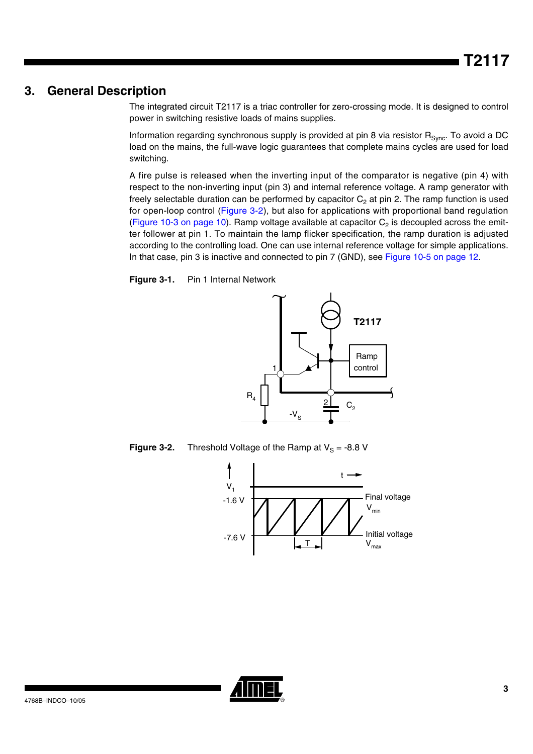## **3. General Description**

The integrated circuit T2117 is a triac controller for zero-crossing mode. It is designed to control power in switching resistive loads of mains supplies.

Information regarding synchronous supply is provided at pin 8 via resistor  $R_{Svn}$ . To avoid a DC load on the mains, the full-wave logic guarantees that complete mains cycles are used for load switching.

A fire pulse is released when the inverting input of the comparator is negative (pin 4) with respect to the non-inverting input (pin 3) and internal reference voltage. A ramp generator with freely selectable duration can be performed by capacitor  $C_2$  at pin 2. The ramp function is used for open-loop control ([Figure 3-2](#page-2-0)), but also for applications with proportional band regulation ([Figure 10-3 on page 10](#page-9-0)). Ramp voltage available at capacitor  $C_2$  is decoupled across the emitter follower at pin 1. To maintain the lamp flicker specification, the ramp duration is adjusted according to the controlling load. One can use internal reference voltage for simple applications. In that case, pin 3 is inactive and connected to pin 7 (GND), see [Figure 10-5 on page 12.](#page-11-0)

**Figure 3-1.** Pin 1 Internal Network



<span id="page-2-0"></span>**Figure 3-2.** Threshold Voltage of the Ramp at  $V_S = -8.8$  V



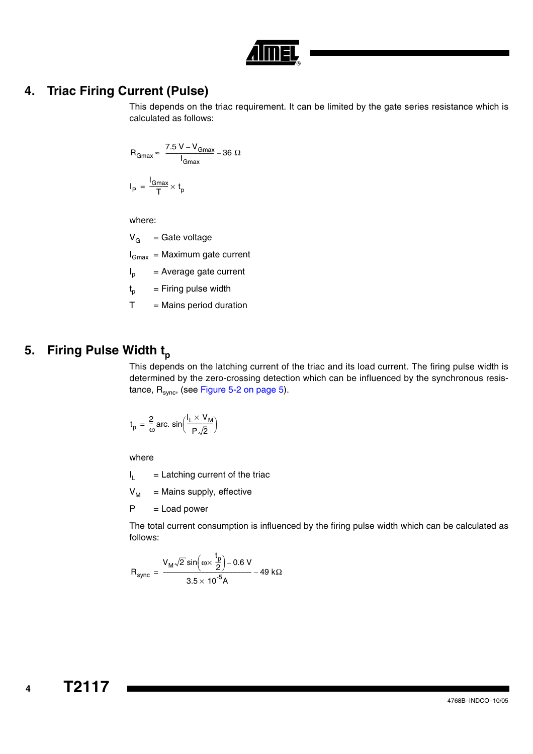

## **4. Triac Firing Current (Pulse)**

This depends on the triac requirement. It can be limited by the gate series resistance which is calculated as follows:

$$
R_{Gmax} \approx \frac{7.5 \text{ V} - V_{Gmax}}{I_{Gmax}} - 36 \text{ }\Omega
$$

$$
I_P = \frac{I_{Gmax}}{T} \times t_p
$$

where:

 $V_G$  = Gate voltage

 $I_{Gmax}$  = Maximum gate current

 $I_p$  = Average gate current

 $t_{p}$  = Firing pulse width

 $T =$  Mains period duration

## **5. Firing Pulse Width t<sub>p</sub>**

This depends on the latching current of the triac and its load current. The firing pulse width is determined by the zero-crossing detection which can be influenced by the synchronous resistance,  $R_{sync}$ , (see [Figure 5-2 on page 5\)](#page-4-0).

$$
t_p = \frac{2}{\omega} \text{ arc. } \sin\left(\frac{I_L \times V_M}{P\sqrt{2}}\right)
$$

where

 $I_L$  = Latching current of the triac

 $V_M$  = Mains supply, effective

 $P =$  Load power

The total current consumption is influenced by the firing pulse width which can be calculated as follows:

$$
R_{sync}=\frac{V_M\sqrt{2}\,sin\left(\omega x\,\frac{t_p}{2}\right)-0.6\;V}{3.5\times10^{-5}A}-49\;k\Omega
$$

 **4**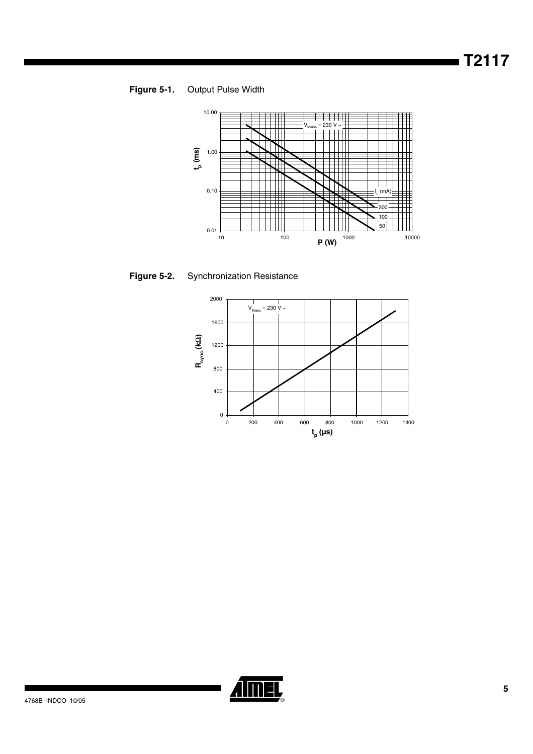**Figure 5-1.** Output Pulse Width



<span id="page-4-0"></span>



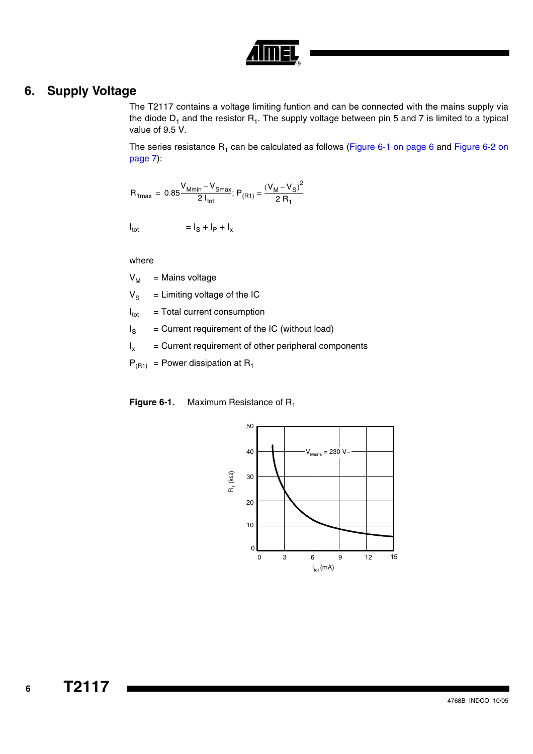

## **6. Supply Voltage**

The T2117 contains a voltage limiting funtion and can be connected with the mains supply via the diode  $D_1$  and the resistor  $R_1$ . The supply voltage between pin 5 and 7 is limited to a typical value of 9.5 V.

The series resistance  $R_1$  can be calculated as follows [\(Figure 6-1 on page 6](#page-5-0) and Figure 6-2 on [page 7](#page-6-0)):

$$
R_{1max} = 0.85 \frac{V_{Mmin} - V_{Smax}}{2 I_{tot}}; P_{(R1)} = \frac{(V_M - V_S)^2}{2 R_1}
$$

 $I_{\text{tot}}$  =  $I_{\text{S}} + I_{\text{P}} + I_{\text{x}}$ 

where

 $V_M$  = Mains voltage

 $V_S$  = Limiting voltage of the IC

 $I_{\text{tot}}$  = Total current consumption

 $I_S$  = Current requirement of the IC (without load)

 $I_x$  = Current requirement of other peripheral components

 $P_{(R1)} =$  Power dissipation at R<sub>1</sub>

<span id="page-5-0"></span>**Figure 6-1.** Maximum Resistance of R<sub>1</sub>



 **6**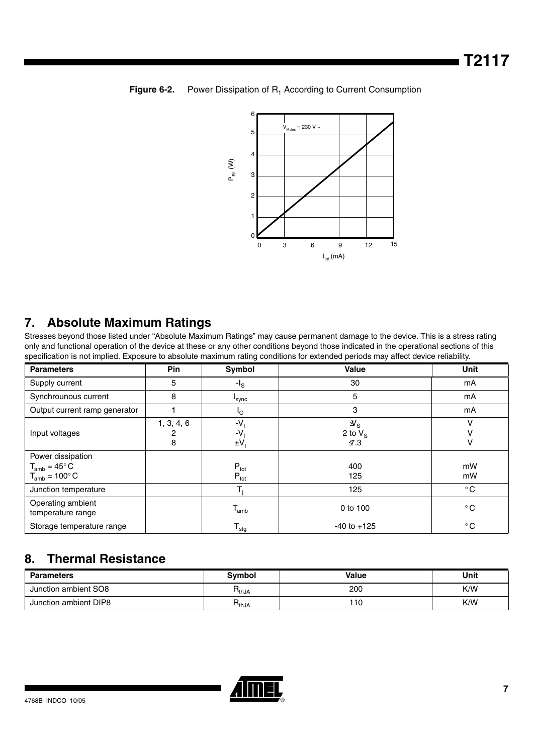<span id="page-6-0"></span>



## **7. Absolute Maximum Ratings**

Stresses beyond those listed under "Absolute Maximum Ratings" may cause permanent damage to the device. This is a stress rating only and functional operation of the device at these or any other conditions beyond those indicated in the operational sections of this specification is not implied. Exposure to absolute maximum rating conditions for extended periods may affect device reliability.

| <b>Parameters</b>                                                          | Pin                  | Symbol                            | <b>Value</b>                                              | <b>Unit</b>  |
|----------------------------------------------------------------------------|----------------------|-----------------------------------|-----------------------------------------------------------|--------------|
| Supply current                                                             | 5                    | -l <sub>s</sub>                   | 30                                                        | mA           |
| Synchrounous current                                                       | 8                    | 'sync                             | 5                                                         | mA           |
| Output current ramp generator                                              |                      | 'o                                | 3                                                         | mA           |
| Input voltages                                                             | 1, 3, 4, 6<br>2<br>8 | -V<br>-V.<br>$\pm V_1$            | $\mathcal{Y}_{\text{S}}$<br>2 to $V_S$<br>$\mathcal{I}.3$ | v            |
| Power dissipation<br>$T_{amb} = 45^{\circ}$ C<br>$T_{amb} = 100^{\circ} C$ |                      | $P_{\text{tot}}$<br>$P_{\rm tot}$ | 400<br>125                                                | mW<br>mW     |
| Junction temperature                                                       |                      |                                   | 125                                                       | $^{\circ}$ C |
| Operating ambient<br>temperature range                                     |                      | $\mathsf{T}_{\mathsf{amb}}$       | 0 to 100                                                  | $^{\circ}$ C |
| Storage temperature range                                                  |                      | $T_{\text{stg}}$                  | $-40$ to $+125$                                           | $^{\circ}$ C |

## **8. Thermal Resistance**

| <b>Parameters</b>     | Svmbol          | Value | Unit |
|-----------------------|-----------------|-------|------|
| Junction ambient SO8  | $R_{thJA}$      | 200   | K/W  |
| Junction ambient DIP8 | □<br>$H_{thJA}$ | 110   | K/W  |

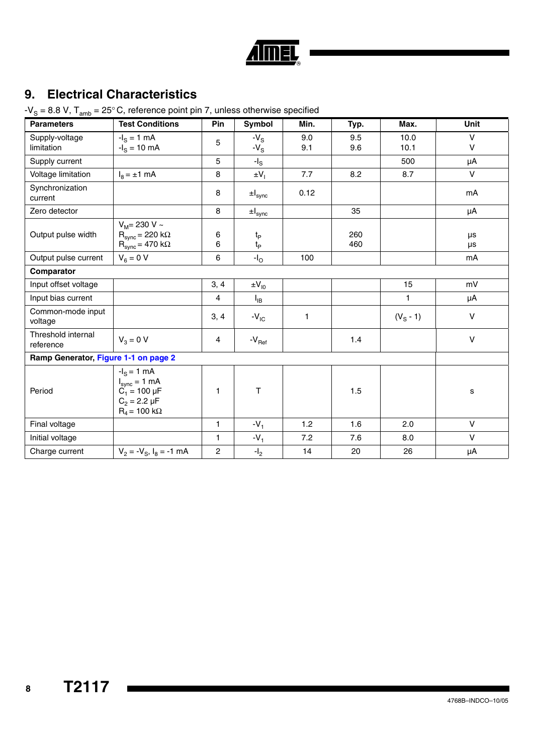|  | a) |
|--|----|

# **9. Electrical Characteristics**

 $-V<sub>S</sub> = 8.8 V$ ,  $T<sub>amb</sub> = 25<sup>°</sup> C$ , reference point pin 7, unless otherwise specified

| <b>Parameters</b>                    | <b>Test Conditions</b>                                                                                | <b>Pin</b>     | Symbol                               | Min.       | Typ.       | Max.         | <b>Unit</b>           |
|--------------------------------------|-------------------------------------------------------------------------------------------------------|----------------|--------------------------------------|------------|------------|--------------|-----------------------|
| Supply-voltage<br>limitation         | $-IS = 1 mA$<br>$-I_S = 10$ mA                                                                        | 5              | $-Vs$<br>$-VS$                       | 9.0<br>9.1 | 9.5<br>9.6 | 10.0<br>10.1 | $\vee$<br>$\mathsf V$ |
| Supply current                       |                                                                                                       | 5              | $-I_{\rm S}$                         |            |            | 500          | μA                    |
| Voltage limitation                   | $I_8 = \pm 1$ mA                                                                                      | 8              | $\pm V_1$                            | 7.7        | 8.2        | 8.7          | $\vee$                |
| Synchronization<br>current           |                                                                                                       | 8              | $\pm I_{sync}$                       | 0.12       |            |              | mA                    |
| Zero detector                        |                                                                                                       | 8              | $\pm I_{sync}$                       |            | 35         |              | μA                    |
| Output pulse width                   | $V_M$ = 230 V ~<br>$\text{R}_{\text{sync}}$ = 220 k $\Omega$<br>$R_{sync} = 470 k\Omega$              | 6<br>6         | $t_{\mathsf{P}}$<br>$t_{\mathsf{P}}$ |            | 260<br>460 |              | μs<br>μs              |
| Output pulse current                 | $V_6 = 0 V$                                                                                           | 6              | $-IO$                                | 100        |            |              | mA                    |
| Comparator                           |                                                                                                       |                |                                      |            |            |              |                       |
| Input offset voltage                 |                                                                                                       | 3, 4           | $\pm V_{10}$                         |            |            | 15           | mV                    |
| Input bias current                   |                                                                                                       | $\overline{4}$ | $I_{IB}$                             |            |            | $\mathbf{1}$ | μA                    |
| Common-mode input<br>voltage         |                                                                                                       | 3, 4           | $-V_{IC}$                            | 1          |            | $(V_S - 1)$  | $\vee$                |
| Threshold internal<br>reference      | $V_3 = 0 V$                                                                                           | $\overline{4}$ | $-V_{\rm Ref}$                       |            | 1.4        |              | $\mathsf V$           |
| Ramp Generator, Figure 1-1 on page 2 |                                                                                                       |                |                                      |            |            |              |                       |
| Period                               | $-IS = 1 mA$<br>$I_{sync} = 1 mA$<br>$C_1 = 100 \mu F$<br>$C_2 = 2.2 \mu F$<br>$R_4$ = 100 k $\Omega$ | 1              | T                                    |            | 1.5        |              | s                     |
| Final voltage                        |                                                                                                       | 1              | $-V_1$                               | 1.2        | 1.6        | 2.0          | $\vee$                |
| Initial voltage                      |                                                                                                       | $\mathbf{1}$   | $-V_1$                               | 7.2        | 7.6        | 8.0          | $\vee$                |
| Charge current                       | $V_2 = -V_{\rm S}$ , $I_{\rm B} = -1$ mA                                                              | $\overline{c}$ | $-I2$                                | 14         | 20         | 26           | μA                    |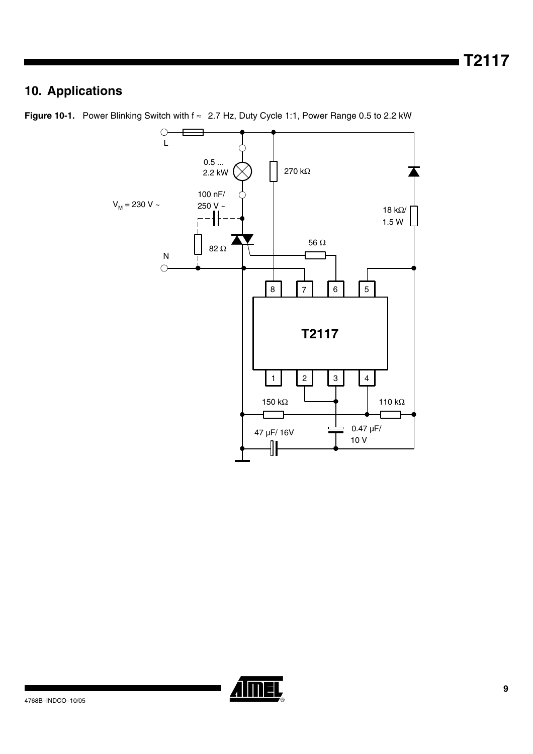# **10. Applications**



Figure 10-1. Power Blinking Switch with f ≈ 2.7 Hz, Duty Cycle 1:1, Power Range 0.5 to 2.2 kW

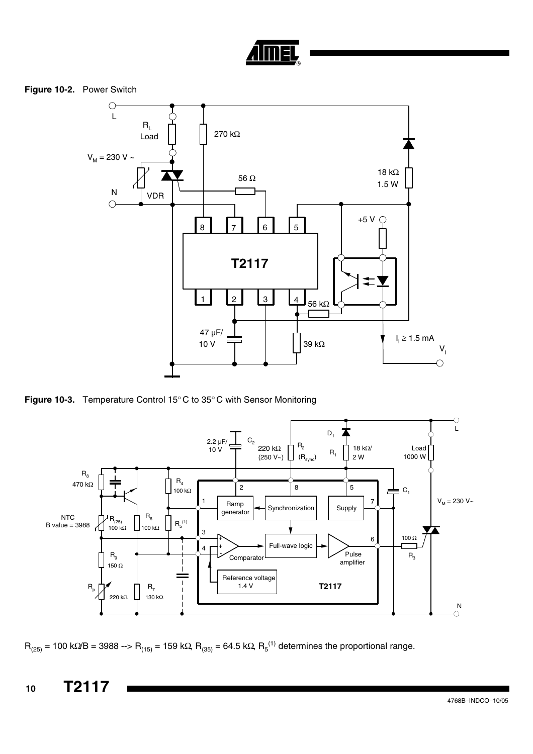

**Figure 10-2.** Power Switch



<span id="page-9-0"></span>**Figure 10-3.** Temperature Control 15° C to 35° C with Sensor Monitoring



 $R_{(25)}$  = 100 kΩ/B = 3988 -->  $R_{(15)}$  = 159 kΩ,  $R_{(35)}$  = 64.5 kΩ,  $R_{5}^{(1)}$  determines the proportional range.

 **10 T2117**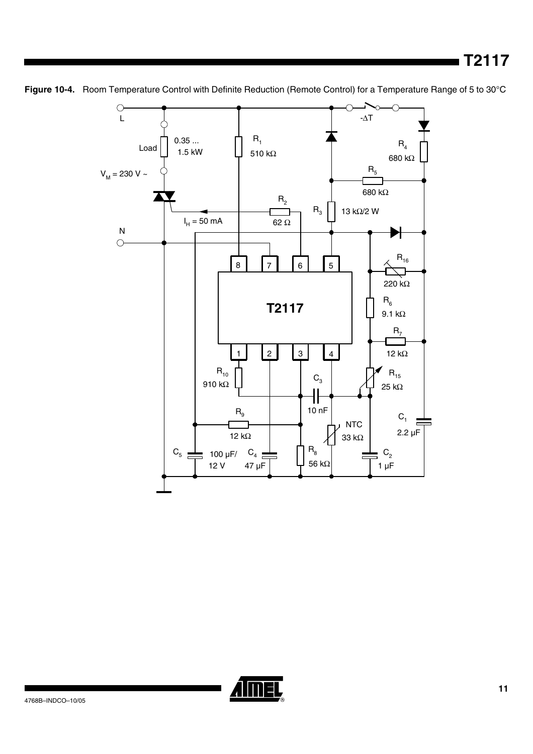

**Figure 10-4.** Room Temperature Control with Definite Reduction (Remote Control) for a Temperature Range of 5 to 30°C

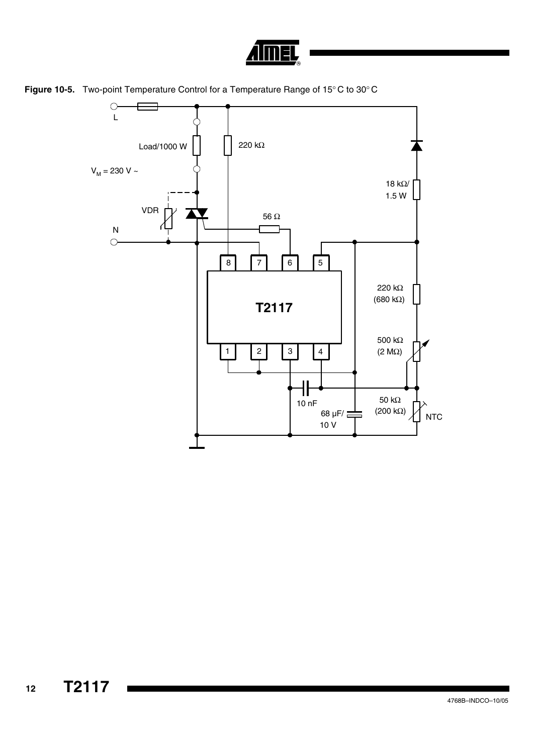



<span id="page-11-0"></span>**Figure 10-5.** Two-point Temperature Control for a Temperature Range of 15° C to 30° C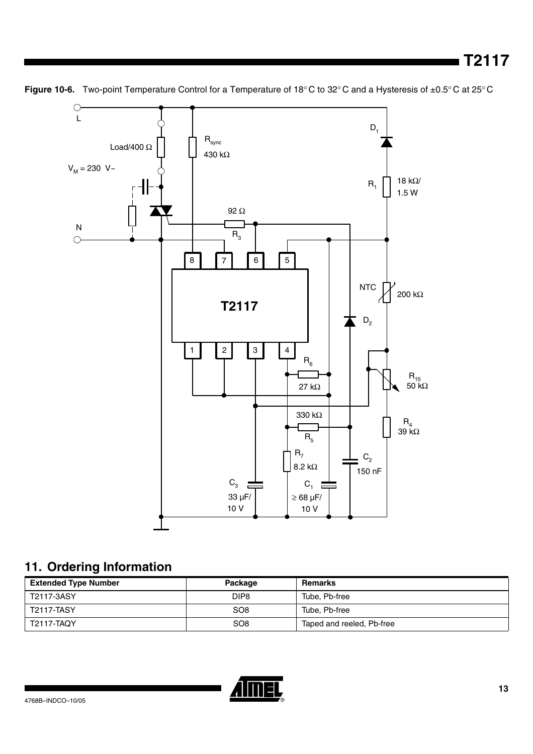

Figure 10-6. Two-point Temperature Control for a Temperature of 18°C to 32°C and a Hysteresis of ±0.5°C at 25°C

# **11. Ordering Information**

| <b>Extended Type Number</b> | Package          | Remarks                   |
|-----------------------------|------------------|---------------------------|
| T2117-3ASY                  | DIP <sub>8</sub> | Tube, Pb-free             |
| <b>T2117-TASY</b>           | SO <sub>8</sub>  | Tube, Pb-free             |
| <b>T2117-TAQY</b>           | SO <sub>8</sub>  | Taped and reeled, Pb-free |

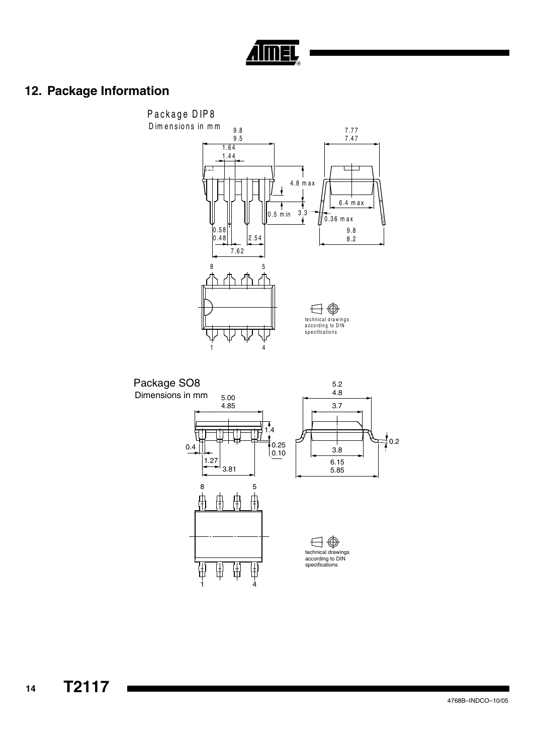

# **12. Package Information**

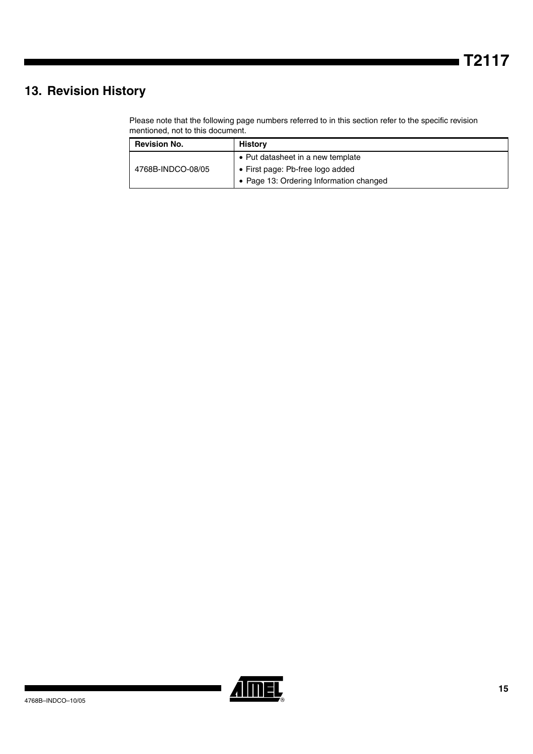# **13. Revision History**

Please note that the following page numbers referred to in this section refer to the specific revision mentioned, not to this document.

| <b>Revision No.</b> | <b>History</b>                          |
|---------------------|-----------------------------------------|
| 4768B-INDCO-08/05   | • Put datasheet in a new template       |
|                     | • First page: Pb-free logo added        |
|                     | • Page 13: Ordering Information changed |